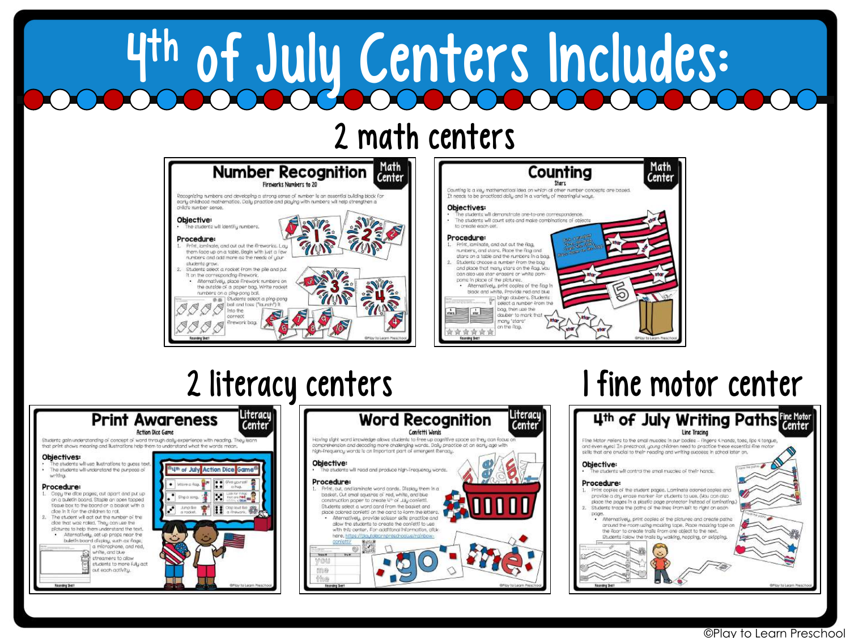# 4 th of July Centers Includes:

### 2 math centers

| Math<br><b>Number Recognition</b><br>Center<br>Fireworks Numbers to 20                                                                                                                                                                                                      | Counting                                                                                                                                                                                                                                                                                                |
|-----------------------------------------------------------------------------------------------------------------------------------------------------------------------------------------------------------------------------------------------------------------------------|---------------------------------------------------------------------------------------------------------------------------------------------------------------------------------------------------------------------------------------------------------------------------------------------------------|
| Recognizing numbers and developing a strong sense of number is an essential building block for<br>early childhood mathematics. Daily practice and playing with numbers will help strengthen a<br>child's rumber sense.                                                      | Counting is a key mathematical idea on which all other number concepts are b<br>It needs to be practiced daily and in a variety of meaningful ways.<br>Objectives:<br>The students will demonstrate ane-to-one correspondence.                                                                          |
| Objective:<br>. The ctudento will identify rumbers.<br>Procedure:<br>Print, laminate, and out out the fireworks. Lay<br>them face up on a table. Begin with just a few                                                                                                      | The students will count sets and make combinations of objects<br>to create each cet.<br>Procedure:<br>Print, laminate, and out out the flag,<br>ologico da Tuertos<br>numbers, and stars. Place the flag and                                                                                            |
| numbers and add more as the needs of your<br>students grow.<br>Students select a rocket from the pile and out.<br>It on the corresponding firework,<br>Alternatively, place firework numbers on<br>the autolde of a paper bag. Write rocket<br>numbers on a plng-pong boll. | stars on a table and the rumbers in a bag.<br>Students choose a rumber from the bag<br>and place that many stars on the flag. You<br>can also use star enasers or white pom-<br>partic in place of the plotures.<br>Alternatively, print copies of the fiag in<br>black and white. Provide red and blue |
| Studente eslect a pina cona<br>当面<br>ball and topp ("launch") it.<br>nto the<br>connacc<br>firework bag.<br>Chicy to Learn Freschool                                                                                                                                        | bingo daubens, Students<br>select a rumber from the<br>bag, then use the<br>dauber to mark that<br>many "etare"<br>on the Roo.<br>Roomding Shart                                                                                                                                                        |





## 2 literacy centers 1 fine motor center

Math<br>Center



#### ©Play to Learn Preschool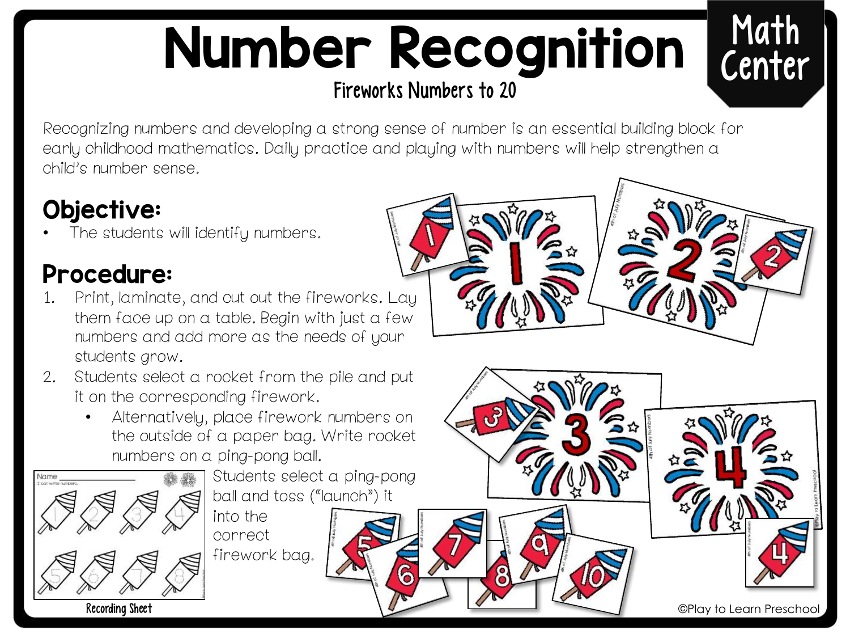# Number Recognition Fireworks Numbers to 20



Recognizing numbers and developing a strong sense of number is an essential building block for early childhood mathematics. Daily practice and playing with numbers will help strengthen a child's number sense.

#### Objective:

The students will identify numbers.

#### Procedure:

- 1. Print, laminate, and cut out the fireworks. Lay them face up on a table. Begin with just a few numbers and add more as the needs of your students grow.
- 2. Students select a rocket from the pile and put it on the corresponding firework.
	- Alternatively, place firework numbers on the outside of a paper bag. Write rocket numbers on a ping-pong ball.



Students select a ping-pong ball and toss ("launch") it

into the correct firework bag.

©Play to Learn Preschool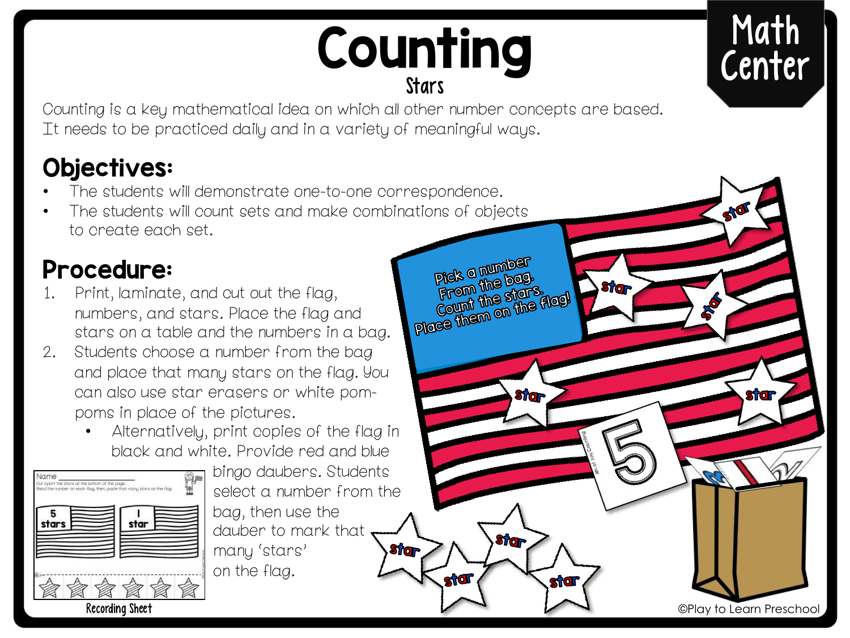# Counting

**Pick a number** pick a number.<br>From the bag. Pick a the bag.<br>From the stars<br>Count the stars<br>Place them on the flag!

**Stran** 

**Stra** 

**stigli** 

iЮ

**Stran** 

Counting is a key mathematical idea on which all other number concepts are based. It needs to be practiced daily and in a variety of meaningful ways.

### Objectives:

- The students will demonstrate one-to-one correspondence.
- The students will count sets and make combinations of objects to create each set.

#### Procedure:

- 1. Print, laminate, and cut out the flag, numbers, and stars. Place the flag and stars on a table and the numbers in a bag.
- 2. Students choose a number from the bag and place that many stars on the flag. You can also use star erasers or white pompoms in place of the pictures.
	- Alternatively, print copies of the flag in black and white. Provide red and blue



Recording Sheet

bingo daubers. Students select a number from the bag, then use the dauber to mark that **Strar** many 'stars' on the flag.



©Play to Learn Preschool

**sticr**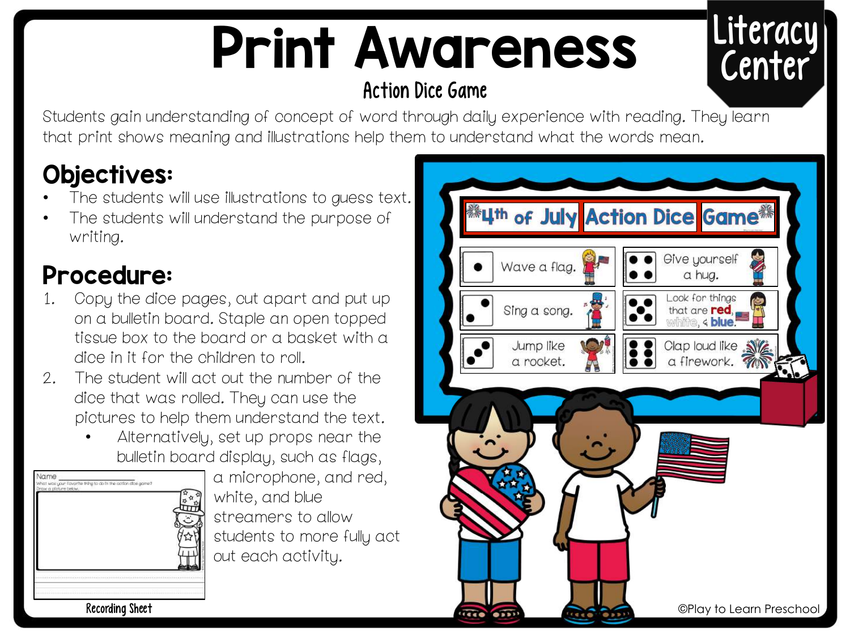# Print Awareness

#### Action Dice Game

# Literacy Center

Students gain understanding of concept of word through daily experience with reading. They learn that print shows meaning and illustrations help them to understand what the words mean.

### Objectives:

- The students will use illustrations to guess text.
- The students will understand the purpose of writing.

#### Procedure:

- 1. Copy the dice pages, cut apart and put up on a bulletin board. Staple an open topped tissue box to the board or a basket with a dice in it for the children to roll.
- 2. The student will act out the number of the dice that was rolled. They can use the pictures to help them understand the text.
	- Alternatively, set up props near the bulletin board display, such as flags,

| Draw a ploture below. | What was your favorite thing to do in the cotion dios game? |  |
|-----------------------|-------------------------------------------------------------|--|
|                       |                                                             |  |
|                       |                                                             |  |
|                       |                                                             |  |
|                       |                                                             |  |
|                       |                                                             |  |
|                       |                                                             |  |
|                       |                                                             |  |
|                       |                                                             |  |

a microphone, and red, white, and blue streamers to allow students to more fully act out each activity.



Recording Sheet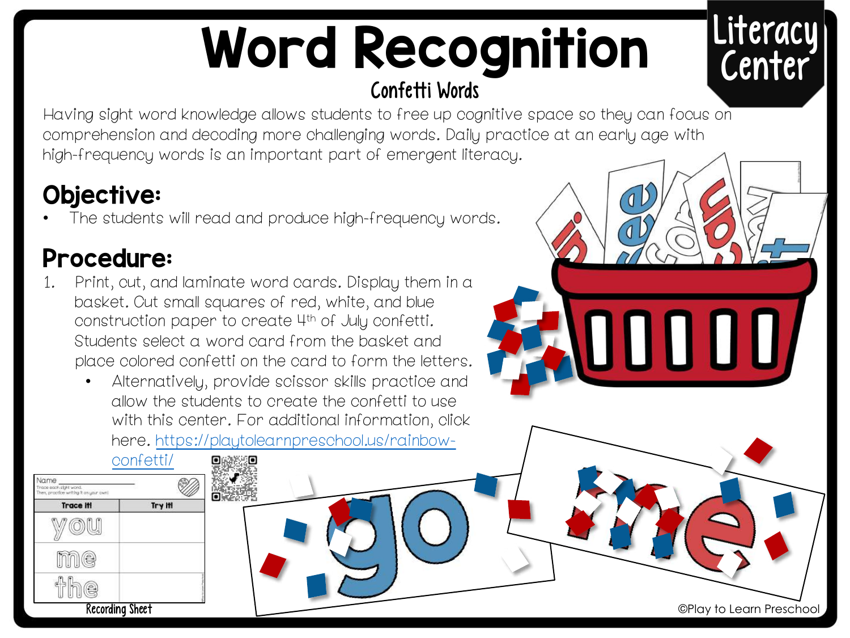# Word Recognition Confetti Words

# Literacy Center

Having sight word knowledge allows students to free up cognitive space so they can focus on comprehension and decoding more challenging words. Daily practice at an early age with high-frequency words is an important part of emergent literacy.

#### Objective:

The students will read and produce high-frequency words.

#### Procedure:

- 1. Print, cut, and laminate word cards. Display them in a basket. Cut small squares of red, white, and blue construction paper to create 4th of July confetti. Students select a word card from the basket and place colored confetti on the card to form the letters.
	- Alternatively, provide scissor skills practice and allow the students to create the confetti to use with this center. For additional information, click [here. https://playtolearnpreschool.us/rainbow-](https://playtolearnpreschool.us/rainbow-confetti/)



JU U U U